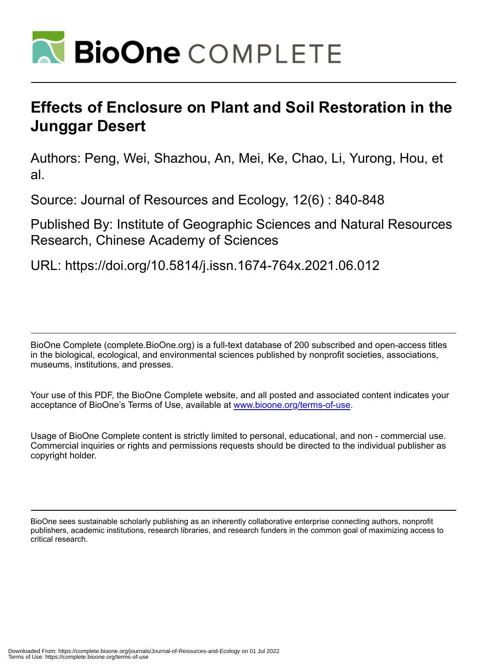

# **Effects of Enclosure on Plant and Soil Restoration in the Junggar Desert**

Authors: Peng, Wei, Shazhou, An, Mei, Ke, Chao, Li, Yurong, Hou, et al.

Source: Journal of Resources and Ecology, 12(6) : 840-848

Published By: Institute of Geographic Sciences and Natural Resources Research, Chinese Academy of Sciences

URL: https://doi.org/10.5814/j.issn.1674-764x.2021.06.012

BioOne Complete (complete.BioOne.org) is a full-text database of 200 subscribed and open-access titles in the biological, ecological, and environmental sciences published by nonprofit societies, associations, museums, institutions, and presses.

Your use of this PDF, the BioOne Complete website, and all posted and associated content indicates your acceptance of BioOne's Terms of Use, available at www.bioone.org/terms-of-use.

Usage of BioOne Complete content is strictly limited to personal, educational, and non - commercial use. Commercial inquiries or rights and permissions requests should be directed to the individual publisher as copyright holder.

BioOne sees sustainable scholarly publishing as an inherently collaborative enterprise connecting authors, nonprofit publishers, academic institutions, research libraries, and research funders in the common goal of maximizing access to critical research.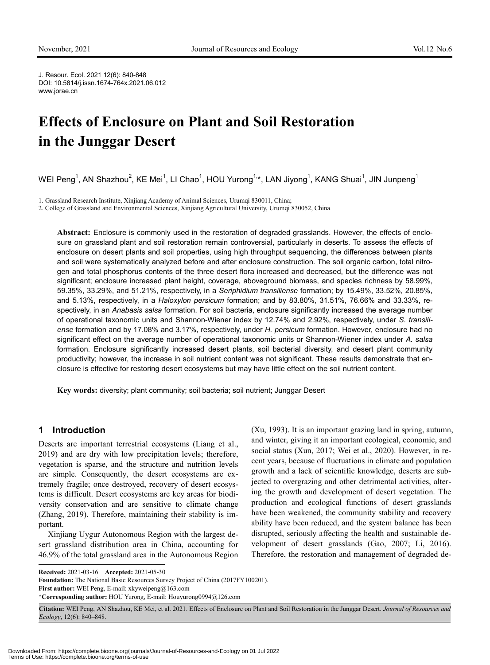J. Resour. Ecol. 2021 12(6): 840-848 DOI: 10.5814/j.issn.1674-764x.2021.06.012 www.jorae.cn

## **Effects of Enclosure on Plant and Soil Restoration in the Junggar Desert**

WEI Peng<sup>1</sup>, AN Shazhou<sup>2</sup>, KE Mei<sup>1</sup>, LI Chao<sup>1</sup>, HOU Yurong<sup>1,</sup>\*, LAN Jiyong<sup>1</sup>, KANG Shuai<sup>1</sup>, JIN Junpeng<sup>1</sup>

1. Grassland Research Institute, Xinjiang Academy of Animal Sciences, Urumqi 830011, China;

2. College of Grassland and Environmental Sciences, Xinjiang Agricultural University, Urumqi 830052, China

**Abstract:** Enclosure is commonly used in the restoration of degraded grasslands. However, the effects of enclosure on grassland plant and soil restoration remain controversial, particularly in deserts. To assess the effects of enclosure on desert plants and soil properties, using high throughput sequencing, the differences between plants and soil were systematically analyzed before and after enclosure construction. The soil organic carbon, total nitrogen and total phosphorus contents of the three desert flora increased and decreased, but the difference was not significant; enclosure increased plant height, coverage, aboveground biomass, and species richness by 58.99%, 59.35%, 33.29%, and 51.21%, respectively, in a *Seriphidium transiliense* formation; by 15.49%, 33.52%, 20.85%, and 5.13%, respectively, in a *Haloxylon persicum* formation; and by 83.80%, 31.51%, 76.66% and 33.33%, respectively, in an *Anabasis salsa* formation. For soil bacteria, enclosure significantly increased the average number of operational taxonomic units and Shannon-Wiener index by 12.74% and 2.92%, respectively, under *S. transiliense* formation and by 17.08% and 3.17%, respectively, under *H. persicum* formation. However, enclosure had no significant effect on the average number of operational taxonomic units or Shannon-Wiener index under *A. salsa* formation. Enclosure significantly increased desert plants, soil bacterial diversity, and desert plant community productivity; however, the increase in soil nutrient content was not significant. These results demonstrate that enclosure is effective for restoring desert ecosystems but may have little effect on the soil nutrient content.

**Key words:** diversity; plant community; soil bacteria; soil nutrient; Junggar Desert

## **1 Introduction**

Deserts are important terrestrial ecosystems (Liang et al., 2019) and are dry with low precipitation levels; therefore, vegetation is sparse, and the structure and nutrition levels are simple. Consequently, the desert ecosystems are extremely fragile; once destroyed, recovery of desert ecosystems is difficult. Desert ecosystems are key areas for biodiversity conservation and are sensitive to climate change (Zhang, 2019). Therefore, maintaining their stability is important.

Xinjiang Uygur Autonomous Region with the largest desert grassland distribution area in China, accounting for 46.9% of the total grassland area in the Autonomous Region (Xu, 1993). It is an important grazing land in spring, autumn, and winter, giving it an important ecological, economic, and social status (Xun, 2017; Wei et al., 2020). However, in recent years, because of fluctuations in climate and population growth and a lack of scientific knowledge, deserts are subjected to overgrazing and other detrimental activities, altering the growth and development of desert vegetation. The production and ecological functions of desert grasslands have been weakened, the community stability and recovery ability have been reduced, and the system balance has been disrupted, seriously affecting the health and sustainable development of desert grasslands (Gao, 2007; Li, 2016). Therefore, the restoration and management of degraded de-

**Received:** 2021-03-16 **Accepted:** 2021-05-30

**Foundation:** The National Basic Resources Survey Project of China (2017FY100201).

**First author:** WEI Peng, E-mail: xkyweipeng@163.com

<sup>\*</sup>**Corresponding author:** HOU Yurong, E-mail: Houyurong0994@126.com

**Citation:** WEI Peng, AN Shazhou, KE Mei, et al. 2021. Effects of Enclosure on Plant and Soil Restoration in the Junggar Desert. *Journal of Resources and Ecology*, 12(6): 840–848.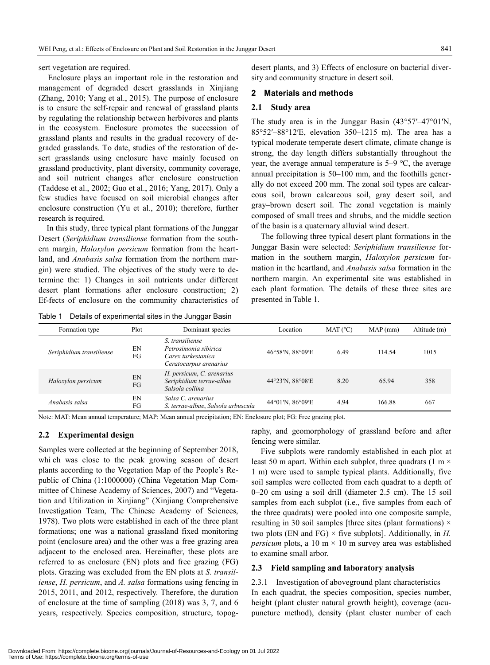sert vegetation are required.

Enclosure plays an important role in the restoration and management of degraded desert grasslands in Xinjiang (Zhang, 2010; Yang et al., 2015). The purpose of enclosure is to ensure the self-repair and renewal of grassland plants by regulating the relationship between herbivores and plants in the ecosystem. Enclosure promotes the succession of grassland plants and results in the gradual recovery of degraded grasslands. To date, studies of the restoration of desert grasslands using enclosure have mainly focused on grassland productivity, plant diversity, community coverage, and soil nutrient changes after enclosure construction (Taddese et al., 2002; Guo et al., 2016; Yang, 2017). Only a few studies have focused on soil microbial changes after enclosure construction (Yu et al., 2010); therefore, further research is required.

In this study, three typical plant formations of the Junggar Desert (*Seriphidium transiliense* formation from the southern margin, *Haloxylon persicum* formation from the heartland, and *Anabasis salsa* formation from the northern margin) were studied. The objectives of the study were to determine the: 1) Changes in soil nutrients under different desert plant formations after enclosure construction; 2) Ef-fects of enclosure on the community characteristics of desert plants, and 3) Effects of enclosure on bacterial diversity and community structure in desert soil.

#### **2 Materials and methods**

#### **2.1 Study area**

The study area is in the Junggar Basin (43°57′–47°01′N, 85°52′–88°12′E, elevation 350–1215 m). The area has a typical moderate temperate desert climate, climate change is strong, the day length differs substantially throughout the year, the average annual temperature is 5–9 ℃, the average annual precipitation is 50–100 mm, and the foothills generally do not exceed 200 mm. The zonal soil types are calcareous soil, brown calcareous soil, gray desert soil, and gray–brown desert soil. The zonal vegetation is mainly composed of small trees and shrubs, and the middle section of the basin is a quaternary alluvial wind desert.

The following three typical desert plant formations in the Junggar Basin were selected: *Seriphidium transiliense* formation in the southern margin, *Haloxylon persicum* formation in the heartland, and *Anabasis salsa* formation in the northern margin. An experimental site was established in each plant formation. The details of these three sites are presented in Table 1.

Table 1 Details of experimental sites in the Junggar Basin

| Formation type           | Plot     | Dominant species                                                                         | Location         | MAT (°C) | MAP(mm) | Altitude (m) |
|--------------------------|----------|------------------------------------------------------------------------------------------|------------------|----------|---------|--------------|
| Seriphidium transiliense | EN<br>FG | S. transiliense<br>Petrosimonia sibirica<br>Carex turkestanica<br>Ceratocarpus arenarius | 46°58'N, 88°09'E | 6.49     | 114.54  | 1015         |
| Haloxylon persicum       | EN<br>FG | H. persicum, C. arenarius<br>Seriphidium terrae-albae<br>Salsola collina                 | 44°23'N, 88°08'E | 8.20     | 65.94   | 358          |
| Anabasis salsa           | EN<br>FG | Salsa C. arenarius<br>S. terrae-albae, Salsola arbuscula                                 | 44°01'N, 86°09'E | 4.94     | 166.88  | 667          |

Note: MAT: Mean annual temperature; MAP: Mean annual precipitation; EN: Enclosure plot; FG: Free grazing plot.

#### **2.2 Experimental design**

Samples were collected at the beginning of September 2018, whi ch was close to the peak growing season of desert plants according to the Vegetation Map of the People's Republic of China (1:1000000) (China Vegetation Map Committee of Chinese Academy of Sciences, 2007) and "Vegetation and Utilization in Xinjiang" (Xinjiang Comprehensive Investigation Team, The Chinese Academy of Sciences, 1978). Two plots were established in each of the three plant formations; one was a national grassland fixed monitoring point (enclosure area) and the other was a free grazing area adjacent to the enclosed area. Hereinafter, these plots are referred to as enclosure (EN) plots and free grazing (FG) plots. Grazing was excluded from the EN plots at *S. transiliense*, *H. persicum*, and *A. salsa* formations using fencing in 2015, 2011, and 2012, respectively. Therefore, the duration of enclosure at the time of sampling (2018) was 3, 7, and 6 years, respectively. Species composition, structure, topography, and geomorphology of grassland before and after fencing were similar.

Five subplots were randomly established in each plot at least 50 m apart. Within each subplot, three quadrats (1 m  $\times$ 1 m) were used to sample typical plants. Additionally, five soil samples were collected from each quadrat to a depth of 0–20 cm using a soil drill (diameter 2.5 cm). The 15 soil samples from each subplot (i.e., five samples from each of the three quadrats) were pooled into one composite sample, resulting in 30 soil samples [three sites (plant formations)  $\times$ two plots (EN and FG)  $\times$  five subplots]. Additionally, in *H*. *persicum* plots, a 10 m  $\times$  10 m survey area was established to examine small arbor.

#### **2.3 Field sampling and laboratory analysis**

2.3.1 Investigation of aboveground plant characteristics In each quadrat, the species composition, species number, height (plant cluster natural growth height), coverage (acupuncture method), density (plant cluster number of each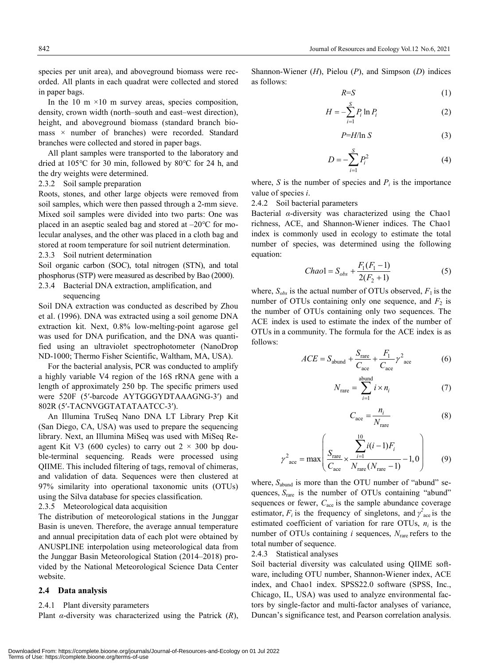species per unit area), and aboveground biomass were recorded. All plants in each quadrat were collected and stored in paper bags.

In the 10 m  $\times$ 10 m survey areas, species composition, density, crown width (north–south and east–west direction), height, and aboveground biomass (standard branch biomass × number of branches) were recorded. Standard branches were collected and stored in paper bags.

All plant samples were transported to the laboratory and dried at 105℃ for 30 min, followed by 80℃ for 24 h, and the dry weights were determined.

2.3.2 Soil sample preparation

Roots, stones, and other large objects were removed from soil samples, which were then passed through a 2-mm sieve. Mixed soil samples were divided into two parts: One was placed in an aseptic sealed bag and stored at –20℃ for molecular analyses, and the other was placed in a cloth bag and stored at room temperature for soil nutrient determination.

2.3.3 Soil nutrient determination

Soil organic carbon (SOC), total nitrogen (STN), and total phosphorus (STP) were measured as described by Bao (2000).

2.3.4 Bacterial DNA extraction, amplification, and

sequencing

Soil DNA extraction was conducted as described by Zhou et al. (1996). DNA was extracted using a soil genome DNA extraction kit. Next, 0.8% low-melting-point agarose gel was used for DNA purification, and the DNA was quantified using an ultraviolet spectrophotometer (NanoDrop ND-1000; Thermo Fisher Scientific, Waltham, MA, USA).

For the bacterial analysis, PCR was conducted to amplify a highly variable V4 region of the 16S rRNA gene with a length of approximately 250 bp. The specific primers used were 520F (5′-barcode AYTGGGYDTAAAGNG-3′) and 802R (5′-TACNVGGTATATAATCC-3′).

An Illumina TruSeq Nano DNA LT Library Prep Kit (San Diego, CA, USA) was used to prepare the sequencing library. Next, an Illumina MiSeq was used with MiSeq Reagent Kit V3 (600 cycles) to carry out  $2 \times 300$  bp double-terminal sequencing. Reads were processed using QIIME. This included filtering of tags, removal of chimeras, and validation of data. Sequences were then clustered at 97% similarity into operational taxonomic units (OTUs) using the Silva database for species classification.

2.3.5 Meteorological data acquisition

The distribution of meteorological stations in the Junggar Basin is uneven. Therefore, the average annual temperature and annual precipitation data of each plot were obtained by ANUSPLINE interpolation using meteorological data from the Junggar Basin Meteorological Station (2014–2018) provided by the National Meteorological Science Data Center website.

#### **2.4 Data analysis**

#### 2.4.1 Plant diversity parameters

Plant *α*-diversity was characterized using the Patrick (*R*),

Shannon-Wiener (*H*), Pielou (*P*), and Simpson (*D*) indices as follows:

$$
R = S \tag{1}
$$

$$
H = -\sum_{i=1}^{S} P_i \ln P_i \tag{2}
$$

$$
P = H/\ln S \tag{3}
$$

$$
D = -\sum_{i=1}^{S} P_i^2
$$
 (4)

where, *S* is the number of species and  $P_i$  is the importance value of species *i*.

2.4.2 Soil bacterial parameters

Bacterial *α*-diversity was characterized using the Chao1 richness, ACE, and Shannon-Wiener indices. The Chao1 index is commonly used in ecology to estimate the total number of species, was determined using the following equation:

$$
Chao1 = S_{obs} + \frac{F_1(F_1 - 1)}{2(F_2 + 1)}
$$
 (5)

where,  $S_{obs}$  is the actual number of OTUs observed,  $F_1$  is the number of OTUs containing only one sequence, and  $F_2$  is the number of OTUs containing only two sequences. The ACE index is used to estimate the index of the number of OTUs in a community. The formula for the ACE index is as follows:

$$
ACE = S_{\text{abund}} + \frac{S_{\text{rare}}}{C_{\text{ace}}} + \frac{F_1}{C_{\text{ace}}} \gamma^2_{\text{ace}}
$$
(6)

$$
N_{\text{rare}} = \sum_{i=1}^{\text{abund}} i \times n_i \tag{7}
$$

$$
C_{\text{ace}} = \frac{n_i}{N_{\text{rare}}} \tag{8}
$$

$$
\gamma^{2}_{\text{ace}} = \max \left( \frac{S_{\text{rare}}}{C_{\text{ace}}} \times \frac{\sum_{i=1}^{10} i(i-1)F_{i}}{N_{\text{rare}}(N_{\text{rare}} - 1)} - 1,0 \right) \tag{9}
$$

where,  $S_{\text{abund}}$  is more than the OTU number of "abund" sequences,  $S<sub>rare</sub>$  is the number of OTUs containing "abund" sequences or fewer,  $C_{\text{ace}}$  is the sample abundance coverage estimator,  $F_i$  is the frequency of singletons, and  $\gamma^2_{\text{ace}}$  is the estimated coefficient of variation for rare OTUs,  $n_i$  is the number of OTUs containing *i* sequences,  $N<sub>rare</sub>$  refers to the total number of sequence.

#### 2.4.3 Statistical analyses

Soil bacterial diversity was calculated using QIIME software, including OTU number, Shannon-Wiener index, ACE index, and Chao1 index. SPSS22.0 software (SPSS, Inc., Chicago, IL, USA) was used to analyze environmental factors by single-factor and multi-factor analyses of variance, Duncan's significance test, and Pearson correlation analysis.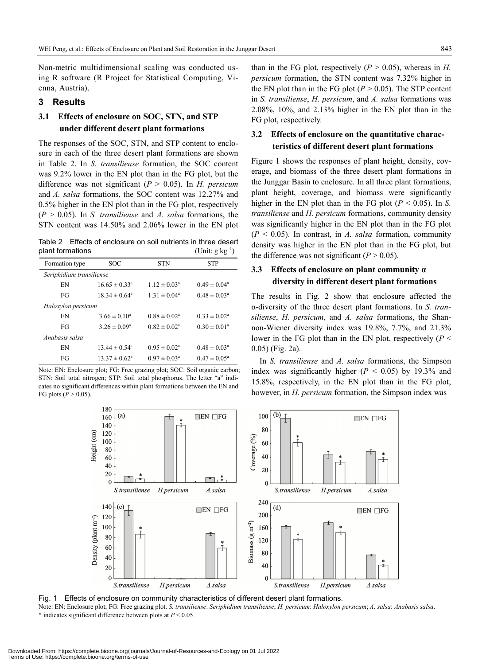Non-metric multidimensional scaling was conducted using R software (R Project for Statistical Computing, Vienna, Austria).

## **3 Results**

## **3.1 Effects of enclosure on SOC, STN, and STP under different desert plant formations**

The responses of the SOC, STN, and STP content to enclosure in each of the three desert plant formations are shown in Table 2. In *S. transiliense* formation, the SOC content was 9.2% lower in the EN plot than in the FG plot, but the difference was not significant (*P* > 0.05). In *H. persicum*  and *A. salsa* formations, the SOC content was 12.27% and 0.5% higher in the EN plot than in the FG plot, respectively (*P* > 0.05). In *S. transiliense* and *A. salsa* formations, the STN content was 14.50% and 2.06% lower in the EN plot

Table 2 Effects of enclosure on soil nutrients in three desert plant formations (Unit:  $g kg^{-1}$ )

| Formation type           | <b>SOC</b>               | <b>STN</b>              | <b>STP</b>              |  |  |  |  |
|--------------------------|--------------------------|-------------------------|-------------------------|--|--|--|--|
| Seriphidium transiliense |                          |                         |                         |  |  |  |  |
| EN                       | $16.65 \pm 0.33^{\circ}$ | $1.12 \pm 0.03^{\circ}$ | $0.49 \pm 0.04^{\circ}$ |  |  |  |  |
| FG                       | $18.34 \pm 0.64^{\circ}$ | $1.31 \pm 0.04^{\circ}$ | $0.48 \pm 0.03^{\circ}$ |  |  |  |  |
| Haloxylon persicum       |                          |                         |                         |  |  |  |  |
| EN                       | $3.66 \pm 0.10^a$        | $0.88 \pm 0.02^a$       | $0.33 \pm 0.02^a$       |  |  |  |  |
| FG                       | $3.26 \pm 0.09^{\circ}$  | $0.82 \pm 0.02^a$       | $0.30 \pm 0.01^a$       |  |  |  |  |
| Anabasis salsa           |                          |                         |                         |  |  |  |  |
| EN                       | $13.44 \pm 0.54^{\circ}$ | $0.95 \pm 0.02^{\circ}$ | $0.48 \pm 0.03^{\circ}$ |  |  |  |  |
| FG                       | $13.37 \pm 0.62^{\circ}$ | $0.97 \pm 0.03^{\circ}$ | $0.47 \pm 0.05^{\circ}$ |  |  |  |  |

Note: EN: Enclosure plot; FG: Free grazing plot; SOC: Soil organic carbon; STN: Soil total nitrogen; STP: Soil total phosphorus. The letter "a" indicates no significant differences within plant formations between the EN and FG plots  $(P > 0.05)$ .

than in the FG plot, respectively  $(P > 0.05)$ , whereas in *H*. *persicum* formation, the STN content was 7.32% higher in the EN plot than in the FG plot  $(P > 0.05)$ . The STP content in *S. transiliense*, *H. persicum*, and *A. salsa* formations was 2.08%, 10%, and 2.13% higher in the EN plot than in the FG plot, respectively.

## **3.2 Effects of enclosure on the quantitative characteristics of different desert plant formations**

Figure 1 shows the responses of plant height, density, coverage, and biomass of the three desert plant formations in the Junggar Basin to enclosure. In all three plant formations, plant height, coverage, and biomass were significantly higher in the EN plot than in the FG plot  $(P < 0.05)$ . In *S*. *transiliense* and *H. persicum* formations, community density was significantly higher in the EN plot than in the FG plot (*P* < 0.05). In contrast, in *A. salsa* formation, community density was higher in the EN plot than in the FG plot, but the difference was not significant  $(P > 0.05)$ .

## **3.3 Effects of enclosure on plant community α diversity in different desert plant formations**

The results in Fig. 2 show that enclosure affected the α-diversity of the three desert plant formations. In *S. transiliense*, *H. persicum*, and *A. salsa* formations, the Shannon-Wiener diversity index was 19.8%, 7.7%, and 21.3% lower in the FG plot than in the EN plot, respectively (*P* < 0.05) (Fig. 2a).

In *S. transiliense* and *A. salsa* formations, the Simpson index was significantly higher  $(P < 0.05)$  by 19.3% and 15.8%, respectively, in the EN plot than in the FG plot; however, in *H. persicum* formation, the Simpson index was



Fig. 1 Effects of enclosure on community characteristics of different desert plant formations. Note: EN: Enclosure plot; FG: Free grazing plot. *S. transiliense*: *Seriphidium transiliense*; *H. persicum*: *Haloxylon persicum*; *A. salsa*: *Anabasis salsa*. \* indicates significant difference between plots at *P* < 0.05.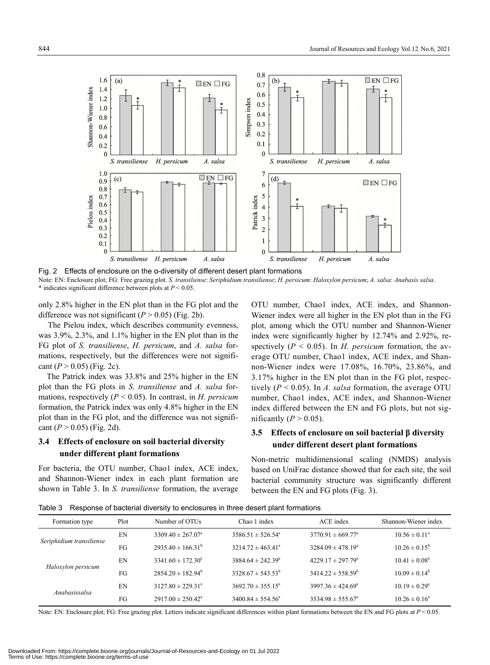

Fig. 2 Effects of enclosure on the α-diversity of different desert plant formations Note: EN: Enclosure plot; FG: Free grazing plot. *S. transiliense*: *Seriphidium transiliense*; *H. persicum*: *Haloxylon persicum*; *A. salsa*: *Anabasis salsa*. \* indicates significant difference between plots at *P* < 0.05.

only 2.8% higher in the EN plot than in the FG plot and the difference was not significant  $(P > 0.05)$  (Fig. 2b).

The Pielou index, which describes community evenness, was 3.9%, 2.3%, and 1.1% higher in the EN plot than in the FG plot of *S. transiliense*, *H. persicum*, and *A. salsa* formations, respectively, but the differences were not significant  $(P > 0.05)$  (Fig. 2c).

The Patrick index was 33.8% and 25% higher in the EN plot than the FG plots in *S. transiliense* and *A. salsa* formations, respectively (*P* < 0.05). In contrast, in *H. persicum* formation, the Patrick index was only 4.8% higher in the EN plot than in the FG plot, and the difference was not significant  $(P > 0.05)$  (Fig. 2d).

## **3.4 Effects of enclosure on soil bacterial diversity under different plant formations**

For bacteria, the OTU number, Chao1 index, ACE index, and Shannon-Wiener index in each plant formation are shown in Table 3. In *S. transiliense* formation, the average OTU number, Chao1 index, ACE index, and Shannon-Wiener index were all higher in the EN plot than in the FG plot, among which the OTU number and Shannon-Wiener index were significantly higher by 12.74% and 2.92%, respectively (*P* < 0.05). In *H. persicum* formation, the average OTU number, Chao1 index, ACE index, and Shannon-Wiener index were 17.08%, 16.70%, 23.86%, and 3.17% higher in the EN plot than in the FG plot, respectively (*P* < 0.05). In *A. salsa* formation, the average OTU number, Chao1 index, ACE index, and Shannon-Wiener index differed between the EN and FG plots, but not significantly  $(P > 0.05)$ .

## **3.5 Effects of enclosure on soil bacterial β diversity under different desert plant formations**

Non-metric multidimensional scaling (NMDS) analysis based on UniFrac distance showed that for each site, the soil bacterial community structure was significantly different between the EN and FG plots (Fig. 3).

Table 3 Response of bacterial diversity to enclosures in three desert plant formations

| Formation type           | Plot | Number of OTUs               | Chao 1 index                 | ACE index                    | Shannon-Wiener index     |
|--------------------------|------|------------------------------|------------------------------|------------------------------|--------------------------|
| Seriphidium transiliense | EN   | $3309.40 \pm 267.07^{\circ}$ | $3586.51 \pm 526.54^{\circ}$ | $3770.91 \pm 669.77^{\circ}$ | $10.56 \pm 0.11^a$       |
|                          | FG   | $2935.40 \pm 166.31^b$       | $3214.72 \pm 463.41^{\circ}$ | $3284.09 \pm 478.19^a$       | $10.26 \pm 0.15^{\rm b}$ |
| Haloxylon persicum       | EN   | $3341.60 \pm 172.30^a$       | $3884.64 \pm 242.39^{\circ}$ | $4229.17 \pm 297.79^{\circ}$ | $10.41 \pm 0.08^a$       |
|                          | FG   | $2854.20 \pm 182.94^{\rm b}$ | $3328.67 \pm 543.53^b$       | $3414.22 \pm 558.59^b$       | $10.09 \pm 0.14^b$       |
| Anabasissalsa            | EN   | $3127.80 \pm 229.31^{\circ}$ | $3692.70 \pm 355.15^{\circ}$ | $3997.36 \pm 424.69^{\circ}$ | $10.19 \pm 0.29^{\circ}$ |
|                          | FG   | $2917.00 \pm 250.42^{\circ}$ | $3400.84 \pm 554.56^{\circ}$ | $3534.98 \pm 555.67^{\circ}$ | $10.26 \pm 0.16^a$       |

Note: EN: Enclosure plot; FG: Free grazing plot. Letters indicate significant differences within plant formations between the EN and FG plots at  $P < 0.05$ .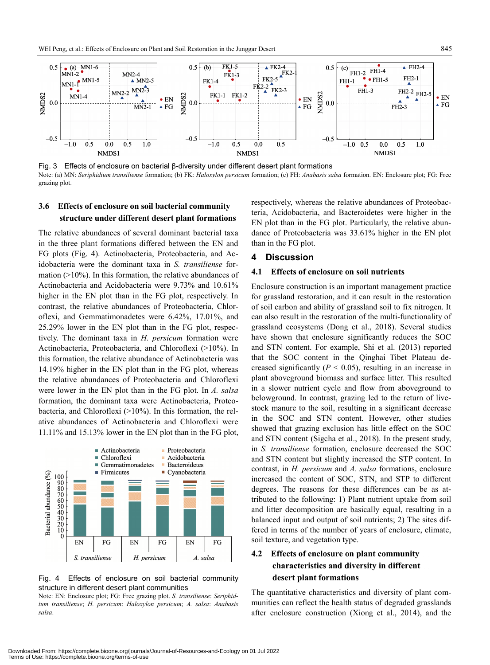

Fig. 3 Effects of enclosure on bacterial β-diversity under different desert plant formations Note: (a) MN: *Seriphidium transiliense* formation; (b) FK: *Haloxylon persicum* formation; (c) FH: *Anabasis salsa* formation. EN: Enclosure plot; FG: Free grazing plot.

## **3.6 Effects of enclosure on soil bacterial community structure under different desert plant formations**

The relative abundances of several dominant bacterial taxa in the three plant formations differed between the EN and FG plots (Fig. 4). Actinobacteria, Proteobacteria, and Acidobacteria were the dominant taxa in *S. transiliense* formation (>10%). In this formation, the relative abundances of Actinobacteria and Acidobacteria were 9.73% and 10.61% higher in the EN plot than in the FG plot, respectively. In contrast, the relative abundances of Proteobacteria, Chloroflexi, and Gemmatimonadetes were 6.42%, 17.01%, and 25.29% lower in the EN plot than in the FG plot, respectively. The dominant taxa in *H. persicum* formation were Actinobacteria, Proteobacteria, and Chloroflexi (>10%). In this formation, the relative abundance of Actinobacteria was 14.19% higher in the EN plot than in the FG plot, whereas the relative abundances of Proteobacteria and Chloroflexi were lower in the EN plot than in the FG plot. In *A. salsa* formation, the dominant taxa were Actinobacteria, Proteobacteria, and Chloroflexi (>10%). In this formation, the relative abundances of Actinobacteria and Chloroflexi were 11.11% and 15.13% lower in the EN plot than in the FG plot,



Fig. 4 Effects of enclosure on soil bacterial community structure in different desert plant communities

Note: EN: Enclosure plot; FG: Free grazing plot. *S. transiliense*: *Seriphidium transiliense*; *H. persicum*: *Haloxylon persicum*; *A. salsa*: *Anabasis salsa*.

respectively, whereas the relative abundances of Proteobacteria, Acidobacteria, and Bacteroidetes were higher in the EN plot than in the FG plot. Particularly, the relative abundance of Proteobacteria was 33.61% higher in the EN plot than in the FG plot.

#### **4 Discussion**

### **4.1 Effects of enclosure on soil nutrients**

Enclosure construction is an important management practice for grassland restoration, and it can result in the restoration of soil carbon and ability of grassland soil to fix nitrogen. It can also result in the restoration of the multi-functionality of grassland ecosystems (Dong et al., 2018). Several studies have shown that enclosure significantly reduces the SOC and STN content. For example, Shi et al. (2013) reported that the SOC content in the Qinghai–Tibet Plateau decreased significantly  $(P < 0.05)$ , resulting in an increase in plant aboveground biomass and surface litter. This resulted in a slower nutrient cycle and flow from aboveground to belowground. In contrast, grazing led to the return of livestock manure to the soil, resulting in a significant decrease in the SOC and STN content. However, other studies showed that grazing exclusion has little effect on the SOC and STN content (Sigcha et al., 2018). In the present study, in *S. transiliense* formation, enclosure decreased the SOC and STN content but slightly increased the STP content. In contrast, in *H. persicum* and *A. salsa* formations, enclosure increased the content of SOC, STN, and STP to different degrees. The reasons for these differences can be as attributed to the following: 1) Plant nutrient uptake from soil and litter decomposition are basically equal, resulting in a balanced input and output of soil nutrients; 2) The sites differed in terms of the number of years of enclosure, climate, soil texture, and vegetation type.

## **4.2 Effects of enclosure on plant community characteristics and diversity in different desert plant formations**

The quantitative characteristics and diversity of plant communities can reflect the health status of degraded grasslands after enclosure construction (Xiong et al., 2014), and the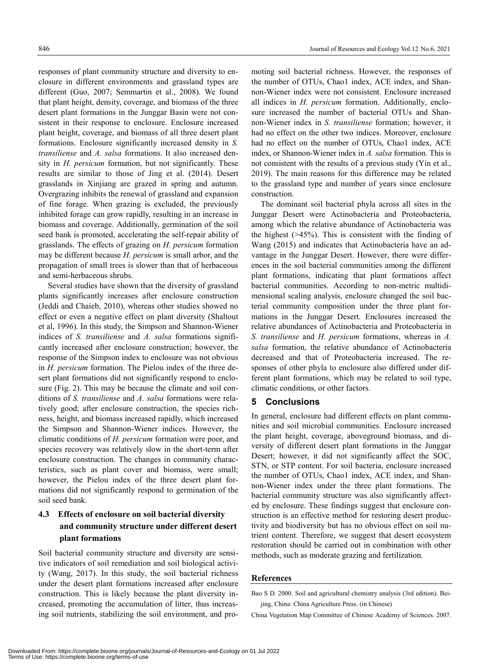responses of plant community structure and diversity to enclosure in different environments and grassland types are different (Guo, 2007; Semmartin et al., 2008). We found that plant height, density, coverage, and biomass of the three desert plant formations in the Junggar Basin were not consistent in their response to enclosure. Enclosure increased plant height, coverage, and biomass of all three desert plant formations. Enclosure significantly increased density in *S. transiliense* and *A. salsa* formations. It also increased density in *H. persicum* formation, but not significantly. These results are similar to those of Jing et al. (2014). Desert grasslands in Xinjiang are grazed in spring and autumn. Overgrazing inhibits the renewal of grassland and expansion of fine forage. When grazing is excluded, the previously inhibited forage can grow rapidly, resulting in an increase in biomass and coverage. Additionally, germination of the soil seed bank is promoted, accelerating the self-repair ability of grasslands. The effects of grazing on *H. persicum* formation may be different because *H. persicum* is small arbor, and the propagation of small trees is slower than that of herbaceous and semi-herbaceous shrubs.

Several studies have shown that the diversity of grassland plants significantly increases after enclosure construction (Jeddi and Chaieb, 2010), whereas other studies showed no effect or even a negative effect on plant diversity (Shaltout et al, 1996). In this study, the Simpson and Shannon-Wiener indices of *S. transiliense* and *A. salsa* formations significantly increased after enclosure construction; however, the response of the Simpson index to enclosure was not obvious in *H. persicum* formation. The Pielou index of the three desert plant formations did not significantly respond to enclosure (Fig. 2). This may be because the climate and soil conditions of *S. transiliense* and *A. salsa* formations were relatively good; after enclosure construction, the species richness, height, and biomass increased rapidly, which increased the Simpson and Shannon-Wiener indices. However, the climatic conditions of *H. persicum* formation were poor, and species recovery was relatively slow in the short-term after enclosure construction. The changes in community characteristics, such as plant cover and biomass, were small; however, the Pielou index of the three desert plant formations did not significantly respond to germination of the soil seed bank.

## **4.3 Effects of enclosure on soil bacterial diversity and community structure under different desert plant formations**

Soil bacterial community structure and diversity are sensitive indicators of soil remediation and soil biological activity (Wang, 2017). In this study, the soil bacterial richness under the desert plant formations increased after enclosure construction. This is likely because the plant diversity increased, promoting the accumulation of litter, thus increasing soil nutrients, stabilizing the soil environment, and promoting soil bacterial richness. However, the responses of the number of OTUs, Chao1 index, ACE index, and Shannon-Wiener index were not consistent. Enclosure increased all indices in *H. persicum* formation. Additionally, enclosure increased the number of bacterial OTUs and Shannon-Wiener index in *S. transiliense* formation; however, it had no effect on the other two indices. Moreover, enclosure had no effect on the number of OTUs, Chao1 index, ACE index, or Shannon-Wiener index in *A. salsa* formation. This is not consistent with the results of a previous study (Yin et al., 2019). The main reasons for this difference may be related to the grassland type and number of years since enclosure construction.

The dominant soil bacterial phyla across all sites in the Junggar Desert were Actinobacteria and Proteobacteria, among which the relative abundance of Actinobacteria was the highest (>45%). This is consistent with the finding of Wang (2015) and indicates that Actinobacteria have an advantage in the Junggar Desert. However, there were differences in the soil bacterial communities among the different plant formations, indicating that plant formations affect bacterial communities. According to non-metric multidimensional scaling analysis, enclosure changed the soil bacterial community composition under the three plant formations in the Junggar Desert. Enclosures increased the relative abundances of Actinobacteria and Proteobacteria in *S. transiliense* and *H. persicum* formations, whereas in *A. salsa* formation, the relative abundance of Actinobacteria decreased and that of Proteobacteria increased. The responses of other phyla to enclosure also differed under different plant formations, which may be related to soil type, climatic conditions, or other factors.

### **5 Conclusions**

In general, enclosure had different effects on plant communities and soil microbial communities. Enclosure increased the plant height, coverage, aboveground biomass, and diversity of different desert plant formations in the Junggar Desert; however, it did not significantly affect the SOC, STN, or STP content. For soil bacteria, enclosure increased the number of OTUs, Chao1 index, ACE index, and Shannon-Wiener index under the three plant formations. The bacterial community structure was also significantly affected by enclosure. These findings suggest that enclosure construction is an effective method for restoring desert productivity and biodiversity but has no obvious effect on soil nutrient content. Therefore, we suggest that desert ecosystem restoration should be carried out in combination with other methods, such as moderate grazing and fertilization.

#### **References**

Bao S D. 2000. Soil and agricultural chemistry analysis (3rd edition). Beijing, China: China Agriculture Press. (in Chinese)

China Vegetation Map Committee of Chinese Academy of Sciences. 2007.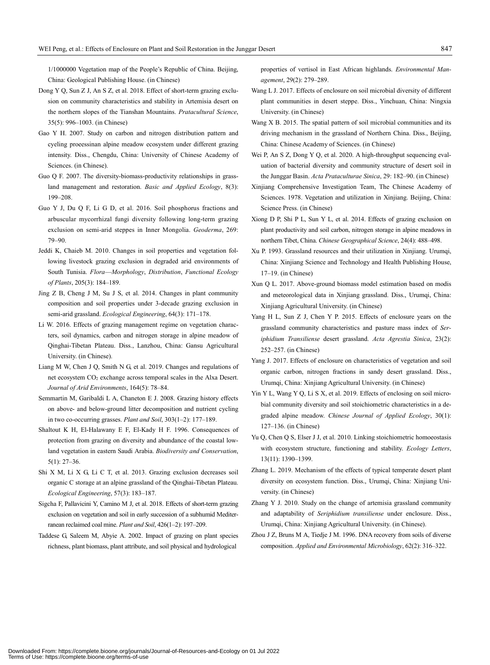1/1000000 Vegetation map of the People's Republic of China. Beijing, China: Geological Publishing House. (in Chinese)

- Dong Y Q, Sun Z J, An S Z, et al. 2018. Effect of short-term grazing exclusion on community characteristics and stability in Artemisia desert on the northern slopes of the Tianshan Mountains. *Pratacultural Science*, 35(5): 996–1003. (in Chinese)
- Gao Y H. 2007. Study on carbon and nitrogen distribution pattern and cyeling proeessinan alpine meadow ecosystem under different grazing intensity. Diss., Chengdu, China: University of Chinese Academy of Sciences. (in Chinese).
- Guo Q F. 2007. The diversity-biomass-productivity relationships in grassland management and restoration. *Basic and Applied Ecology*, 8(3): 199–208.
- Guo Y J, Du Q F, Li G D, et al. 2016. Soil phosphorus fractions and arbuscular mycorrhizal fungi diversity following long-term grazing exclusion on semi-arid steppes in Inner Mongolia. *Geoderma*, 269: 79–90.
- Jeddi K, Chaieb M. 2010. Changes in soil properties and vegetation following livestock grazing exclusion in degraded arid environments of South Tunisia. *Flora*—*Morphology*, *Distribution*, *Functional Ecology of Plants*, 205(3): 184–189.
- Jing Z B, Cheng J M, Su J S, et al. 2014. Changes in plant community composition and soil properties under 3-decade grazing exclusion in semi-arid grassland. *Ecological Engineering*, 64(3): 171–178.
- Li W. 2016. Effects of grazing management regime on vegetation characters, soil dynamics, carbon and nitrogen storage in alpine meadow of Qinghai-Tibetan Plateau. Diss., Lanzhou, China: Gansu Agricultural University. (in Chinese).
- Liang M W, Chen J Q, Smith N G, et al. 2019. Changes and regulations of net ecosystem CO<sub>2</sub> exchange across temporal scales in the Alxa Desert. *Journal of Arid Environments*, 164(5): 78–84.
- Semmartin M, Garibaldi L A, Chaneton E J. 2008. Grazing history effects on above- and below-ground litter decomposition and nutrient cycling in two co-occurring grasses. *Plant and Soil*, 303(1–2): 177–189.
- Shaltout K H, El-Halawany E F, El-Kady H F. 1996. Consequences of protection from grazing on diversity and abundance of the coastal lowland vegetation in eastern Saudi Arabia. *Biodiversity and Conservation*, 5(1): 27–36.
- Shi X M, Li X G, Li C T, et al. 2013. Grazing exclusion decreases soil organic C storage at an alpine grassland of the Qinghai-Tibetan Plateau. *Ecological Engineering*, 57(3): 183–187.
- Sigcha F, Pallavicini Y, Camino M J, et al. 2018. Effects of short-term grazing exclusion on vegetation and soil in early succession of a subhumid Mediterranean reclaimed coal mine. *Plant and Soil*, 426(1–2): 197–209.
- Taddese G, Saleem M, Abyie A. 2002. Impact of grazing on plant species richness, plant biomass, plant attribute, and soil physical and hydrological

Terms of Use: https://complete.bioone.org/terms-of-use

properties of vertisol in East African highlands. *Environmental Management*, 29(2): 279–289.

- Wang L J. 2017. Effects of enclosure on soil microbial diversity of different plant communities in desert steppe. Diss., Yinchuan, China: Ningxia University. (in Chinese)
- Wang X B. 2015. The spatial pattern of soil microbial communities and its driving mechanism in the grassland of Northern China. Diss., Beijing, China: Chinese Academy of Sciences. (in Chinese)
- Wei P, An S Z, Dong Y Q, et al. 2020. A high-throughput sequencing evaluation of bacterial diversity and community structure of desert soil in the Junggar Basin. *Acta Prataculturae Sinica*, 29: 182–90. (in Chinese)
- Xinjiang Comprehensive Investigation Team, The Chinese Academy of Sciences. 1978. Vegetation and utilization in Xinjiang. Beijing, China: Science Press. (in Chinese)
- Xiong D P, Shi P L, Sun Y L, et al. 2014. Effects of grazing exclusion on plant productivity and soil carbon, nitrogen storage in alpine meadows in northern Tibet, China. *Chinese Geographical Science*, 24(4): 488–498.
- Xu P. 1993. Grassland resources and their utilization in Xinjiang. Urumqi, China: Xinjiang Science and Technology and Health Publishing House, 17–19. (in Chinese)
- Xun Q L. 2017. Above-ground biomass model estimation based on modis and meteorological data in Xinjiang grassland. Diss., Urumqi, China: Xinjiang Agricultural University. (in Chinese)
- Yang H L, Sun Z J, Chen Y P. 2015. Effects of enclosure years on the grassland community characteristics and pasture mass index of *Seriphidium Transiliense* desert grassland. *Acta Agrestia Sinica*, 23(2): 252–257. (in Chinese)
- Yang J. 2017. Effects of enclosure on characteristics of vegetation and soil organic carbon, nitrogen fractions in sandy desert grassland. Diss., Urumqi, China: Xinjiang Agricultural University. (in Chinese)
- Yin Y L, Wang Y Q, Li S X, et al. 2019. Effects of enclosing on soil microbial community diversity and soil stoichiometric characteristics in a degraded alpine meadow. *Chinese Journal of Applied Ecology*, 30(1): 127–136. (in Chinese)
- Yu Q, Chen Q S, Elser J J, et al. 2010. Linking stoichiometric homoeostasis with ecosystem structure, functioning and stability. *Ecology Letters*, 13(11): 1390–1399.
- Zhang L. 2019. Mechanism of the effects of typical temperate desert plant diversity on ecosystem function. Diss., Urumqi, China: Xinjiang University. (in Chinese)
- Zhang Y J. 2010. Study on the change of artemisia grassland community and adaptability of *Seriphidium transiliense* under enclosure. Diss., Urumqi, China: Xinjiang Agricultural University. (in Chinese).
- Zhou J Z, Bruns M A, Tiedje J M. 1996. DNA recovery from soils of diverse composition. *Applied and Environmental Microbiology*, 62(2): 316–322.